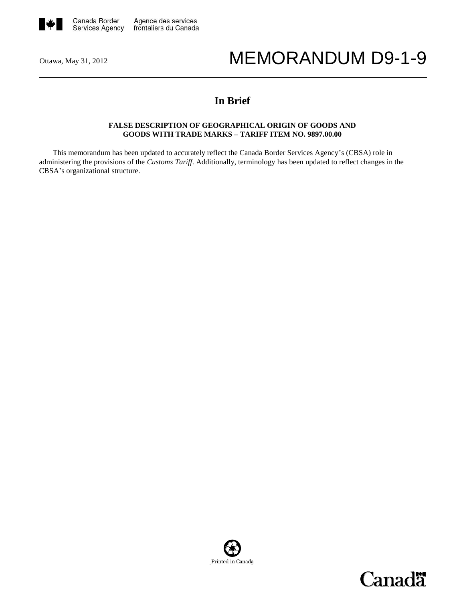

# Ottawa, May 31, 2012 MEMORANDUM D9-1-9

## **In Brief**

#### **FALSE DESCRIPTION OF GEOGRAPHICAL ORIGIN OF GOODS AND GOODS WITH TRADE MARKS – TARIFF ITEM NO. 9897.00.00**

This memorandum has been updated to accurately reflect the Canada Border Services Agency's (CBSA) role in administering the provisions of the *Customs Tariff*. Additionally, terminology has been updated to reflect changes in the CBSA's organizational structure.



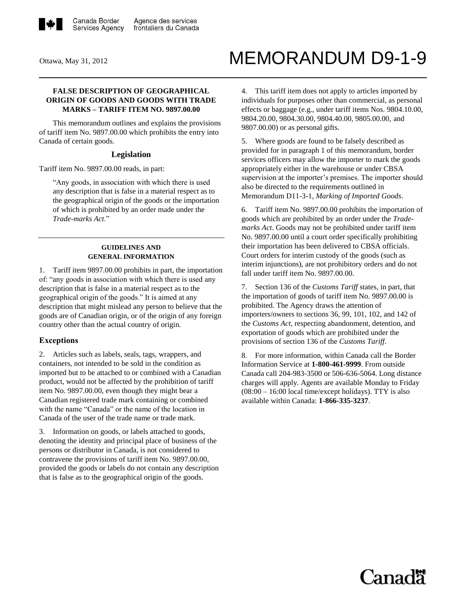

# Ottawa, May 31, 2012 MEMORANDUM D9-1-9

#### **FALSE DESCRIPTION OF GEOGRAPHICAL ORIGIN OF GOODS AND GOODS WITH TRADE MARKS – TARIFF ITEM NO. 9897.00.00**

This memorandum outlines and explains the provisions of tariff item No. 9897.00.00 which prohibits the entry into Canada of certain goods.

#### **Legislation**

Tariff item No. 9897.00.00 reads, in part:

"Any goods, in association with which there is used any description that is false in a material respect as to the geographical origin of the goods or the importation of which is prohibited by an order made under the *Trade-marks Act*."

#### **GUIDELINES AND GENERAL INFORMATION**

1. Tariff item 9897.00.00 prohibits in part, the importation of: "any goods in association with which there is used any description that is false in a material respect as to the geographical origin of the goods." It is aimed at any description that might mislead any person to believe that the goods are of Canadian origin, or of the origin of any foreign country other than the actual country of origin.

### **Exceptions**

2. Articles such as labels, seals, tags, wrappers, and containers, not intended to be sold in the condition as imported but to be attached to or combined with a Canadian product, would not be affected by the prohibition of tariff item No. 9897.00.00, even though they might bear a Canadian registered trade mark containing or combined with the name "Canada" or the name of the location in Canada of the user of the trade name or trade mark.

3. Information on goods, or labels attached to goods, denoting the identity and principal place of business of the persons or distributor in Canada, is not considered to contravene the provisions of tariff item No. 9897.00.00, provided the goods or labels do not contain any description that is false as to the geographical origin of the goods.

4. This tariff item does not apply to articles imported by individuals for purposes other than commercial, as personal effects or baggage (e.g., under tariff items Nos. 9804.10.00, 9804.20.00, 9804.30.00, 9804.40.00, 9805.00.00, and 9807.00.00) or as personal gifts.

5. Where goods are found to be falsely described as provided for in paragraph 1 of this memorandum, border services officers may allow the importer to mark the goods appropriately either in the warehouse or under CBSA supervision at the importer's premises. The importer should also be directed to the requirements outlined in [Memorandum](http://www.cbsa-asfc.gc.ca/publications/dm-md/d11/d11-3-1-eng.html) D11-3-1, *Marking of Imported Goods*.

6. Tariff item No. 9897.00.00 prohibits the importation of goods which are prohibited by an order under the *Trademarks Act*. Goods may not be prohibited under tariff item No. 9897.00.00 until a court order specifically prohibiting their importation has been delivered to CBSA officials. Court orders for interim custody of the goods (such as interim injunctions), are not prohibitory orders and do not fall under tariff item No. 9897.00.00.

7. Section 136 of the *Customs Tariff* states, in part, that the importation of goods of tariff item No. 9897.00.00 is prohibited. The Agency draws the attention of importers/owners to sections 36, 99, 101, 102, and 142 of the *Customs Act*, respecting abandonment, detention, and exportation of goods which are prohibited under the provisions of section 136 of the *Customs Tariff*.

8. For more information, within Canada call the Border Information Service at **1-800-461-9999**. From outside Canada call 204-983-3500 or 506-636-5064. Long distance charges will apply. Agents are available Monday to Friday  $(08:00 - 16:00$  local time/except holidays). TTY is also available within Canada: **1-866-335-3237**.